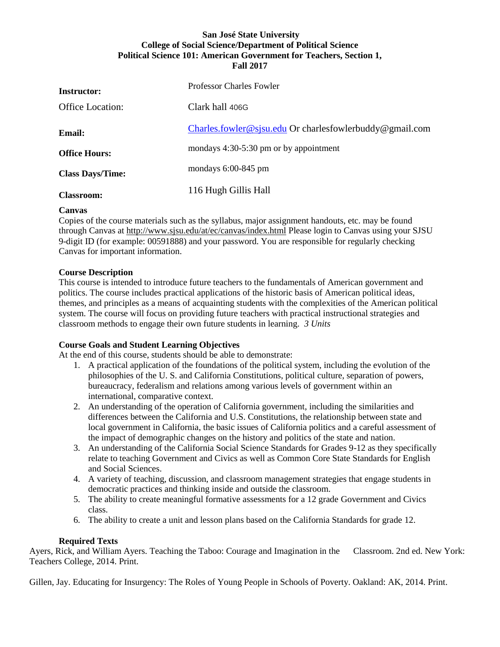# **San José State University College of Social Science/Department of Political Science Political Science 101: American Government for Teachers, Section 1, Fall 2017**

| <b>Instructor:</b>      | <b>Professor Charles Fowler</b>                         |
|-------------------------|---------------------------------------------------------|
| <b>Office Location:</b> | Clark hall 406G                                         |
| <b>Email:</b>           | Charles.fowler@sjsu.edu Or charlesfowlerbuddy@gmail.com |
| <b>Office Hours:</b>    | mondays 4:30-5:30 pm or by appointment                  |
| <b>Class Days/Time:</b> | mondays $6:00-845$ pm                                   |
| <b>Classroom:</b>       | 116 Hugh Gillis Hall                                    |

# **Canvas**

Copies of the course materials such as the syllabus, major assignment handouts, etc. may be found through Canvas at<http://www.sjsu.edu/at/ec/canvas/index.html> Please login to Canvas using your SJSU 9-digit ID (for example: 00591888) and your password. You are responsible for regularly checking Canvas for important information.

## **Course Description**

This course is intended to introduce future teachers to the fundamentals of American government and politics. The course includes practical applications of the historic basis of American political ideas, themes, and principles as a means of acquainting students with the complexities of the American political system. The course will focus on providing future teachers with practical instructional strategies and classroom methods to engage their own future students in learning. *3 Units*

# **Course Goals and Student Learning Objectives**

At the end of this course, students should be able to demonstrate:

- 1. A practical application of the foundations of the political system, including the evolution of the philosophies of the U. S. and California Constitutions, political culture, separation of powers, bureaucracy, federalism and relations among various levels of government within an international, comparative context.
- 2. An understanding of the operation of California government, including the similarities and differences between the California and U.S. Constitutions, the relationship between state and local government in California, the basic issues of California politics and a careful assessment of the impact of demographic changes on the history and politics of the state and nation.
- 3. An understanding of the California Social Science Standards for Grades 9-12 as they specifically relate to teaching Government and Civics as well as Common Core State Standards for English and Social Sciences.
- 4. A variety of teaching, discussion, and classroom management strategies that engage students in democratic practices and thinking inside and outside the classroom.
- 5. The ability to create meaningful formative assessments for a 12 grade Government and Civics class.
- 6. The ability to create a unit and lesson plans based on the California Standards for grade 12.

## **Required Texts**

Ayers, Rick, and William Ayers. Teaching the Taboo: Courage and Imagination in the Classroom. 2nd ed. New York: Teachers College, 2014. Print.

Gillen, Jay. Educating for Insurgency: The Roles of Young People in Schools of Poverty. Oakland: AK, 2014. Print.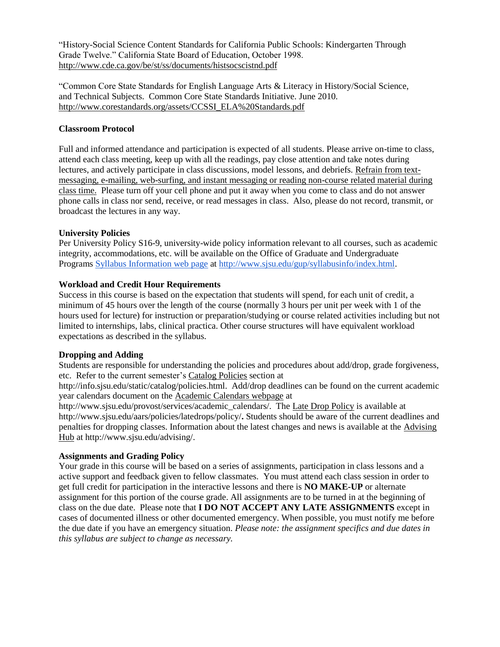"History-Social Science Content Standards for California Public Schools: Kindergarten Through Grade Twelve." California State Board of Education, October 1998. <http://www.cde.ca.gov/be/st/ss/documents/histsocscistnd.pdf>

"Common Core State Standards for English Language Arts & Literacy in History/Social Science, and Technical Subjects. Common Core State Standards Initiative. June 2010. [http://www.corestandards.org/assets/CCSSI\\_ELA%20Standards.pdf](http://www.corestandards.org/assets/CCSSI_ELA%20Standards.pdf)

# **Classroom Protocol**

Full and informed attendance and participation is expected of all students. Please arrive on-time to class, attend each class meeting, keep up with all the readings, pay close attention and take notes during lectures, and actively participate in class discussions, model lessons, and debriefs. Refrain from textmessaging, e-mailing, web-surfing, and instant messaging or reading non-course related material during class time. Please turn off your cell phone and put it away when you come to class and do not answer phone calls in class nor send, receive, or read messages in class. Also, please do not record, transmit, or broadcast the lectures in any way.

## **University Policies**

Per University Policy S16-9, university-wide policy information relevant to all courses, such as academic integrity, accommodations, etc. will be available on the Office of Graduate and Undergraduate Programs [Syllabus Information web page](http://www.sjsu.edu/gup/syllabusinfo/index.html) at [http://www.sjsu.edu/gup/syllabusinfo/index.html.](http://www.sjsu.edu/gup/syllabusinfo/index.html)

## **Workload and Credit Hour Requirements**

Success in this course is based on the expectation that students will spend, for each unit of credit, a minimum of 45 hours over the length of the course (normally 3 hours per unit per week with 1 of the hours used for lecture) for instruction or preparation/studying or course related activities including but not limited to internships, labs, clinical practica. Other course structures will have equivalent workload expectations as described in the syllabus.

## **Dropping and Adding**

Students are responsible for understanding the policies and procedures about add/drop, grade forgiveness, etc. Refer to the current semester's [Catalog Policies](http://info.sjsu.edu/static/catalog/policies.html) section at

http://info.sjsu.edu/static/catalog/policies.html. Add/drop deadlines can be found on the current academic year calendars document on the [Academic Calendars webpage](http://www.sjsu.edu/provost/services/academic_calendars/) at

http://www.sjsu.edu/provost/services/academic\_calendars/. The [Late Drop Policy](http://www.sjsu.edu/aars/policies/latedrops/policy/) is available at http://www.sjsu.edu/aars/policies/latedrops/policy/**.** Students should be aware of the current deadlines and penalties for dropping classes. Information about the latest changes and news is available at the [Advising](http://www.sjsu.edu/advising/)  [Hub](http://www.sjsu.edu/advising/) at http://www.sjsu.edu/advising/.

## **Assignments and Grading Policy**

Your grade in this course will be based on a series of assignments, participation in class lessons and a active support and feedback given to fellow classmates. You must attend each class session in order to get full credit for participation in the interactive lessons and there is **NO MAKE-UP** or alternate assignment for this portion of the course grade. All assignments are to be turned in at the beginning of class on the due date. Please note that **I DO NOT ACCEPT ANY LATE ASSIGNMENTS** except in cases of documented illness or other documented emergency. When possible, you must notify me before the due date if you have an emergency situation. *Please note: the assignment specifics and due dates in this syllabus are subject to change as necessary.*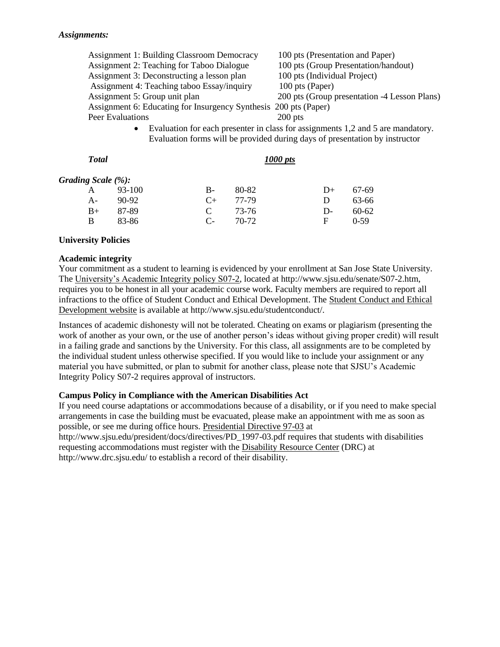| <b>Assignment 1: Building Classroom Democracy</b>                | 100 pts (Presentation and Paper)                                                |  |  |
|------------------------------------------------------------------|---------------------------------------------------------------------------------|--|--|
| Assignment 2: Teaching for Taboo Dialogue                        | 100 pts (Group Presentation/handout)                                            |  |  |
| Assignment 3: Deconstructing a lesson plan                       | 100 pts (Individual Project)                                                    |  |  |
| Assignment 4: Teaching taboo Essay/inquiry                       | 100 pts (Paper)                                                                 |  |  |
| Assignment 5: Group unit plan                                    | 200 pts (Group presentation -4 Lesson Plans)                                    |  |  |
| Assignment 6: Educating for Insurgency Synthesis 200 pts (Paper) |                                                                                 |  |  |
| Peer Evaluations                                                 | $200$ pts                                                                       |  |  |
| $\bullet$                                                        | Evaluation for each presenter in class for assignments 1,2 and 5 are mandatory. |  |  |
|                                                                  | Evaluation forms will be provided during days of presentation by instructor     |  |  |

| <b>Total</b>       |          | 1000 pts |       |      |        |
|--------------------|----------|----------|-------|------|--------|
| Grading Scale (%): |          |          |       |      |        |
| Α                  | $93-100$ | B-       | 80-82 | $D+$ | 67-69  |
| A-                 | 90-92    | $C+$     | 77-79 | Ð    | 63-66  |
| $B+$               | 87-89    | C        | 73-76 | D-   | 60-62  |
| B                  | 83-86    | C-       | 70-72 | F    | $0-59$ |

#### **University Policies**

#### **Academic integrity**

Your commitment as a student to learning is evidenced by your enrollment at San Jose State University. The [University's Academic Integrity policy S07-2,](http://www.sjsu.edu/senate/S07-2.htm) located at http://www.sjsu.edu/senate/S07-2.htm, requires you to be honest in all your academic course work. Faculty members are required to report all infractions to the office of Student Conduct and Ethical Development. The [Student Conduct and Ethical](http://www.sjsu.edu/studentconduct/)  [Development website](http://www.sjsu.edu/studentconduct/) is available at http://www.sjsu.edu/studentconduct/.

Instances of academic dishonesty will not be tolerated. Cheating on exams or plagiarism (presenting the work of another as your own, or the use of another person's ideas without giving proper credit) will result in a failing grade and sanctions by the University. For this class, all assignments are to be completed by the individual student unless otherwise specified. If you would like to include your assignment or any material you have submitted, or plan to submit for another class, please note that SJSU's Academic Integrity Policy S07-2 requires approval of instructors.

# **Campus Policy in Compliance with the American Disabilities Act**

If you need course adaptations or accommodations because of a disability, or if you need to make special arrangements in case the building must be evacuated, please make an appointment with me as soon as possible, or see me during office hours. [Presidential Directive 97-03](http://www.sjsu.edu/president/docs/directives/PD_1997-03.pdf) at

http://www.sjsu.edu/president/docs/directives/PD\_1997-03.pdf requires that students with disabilities requesting accommodations must register with the [Disability Resource Center](http://www.drc.sjsu.edu/) (DRC) at http://www.drc.sjsu.edu/ to establish a record of their disability.